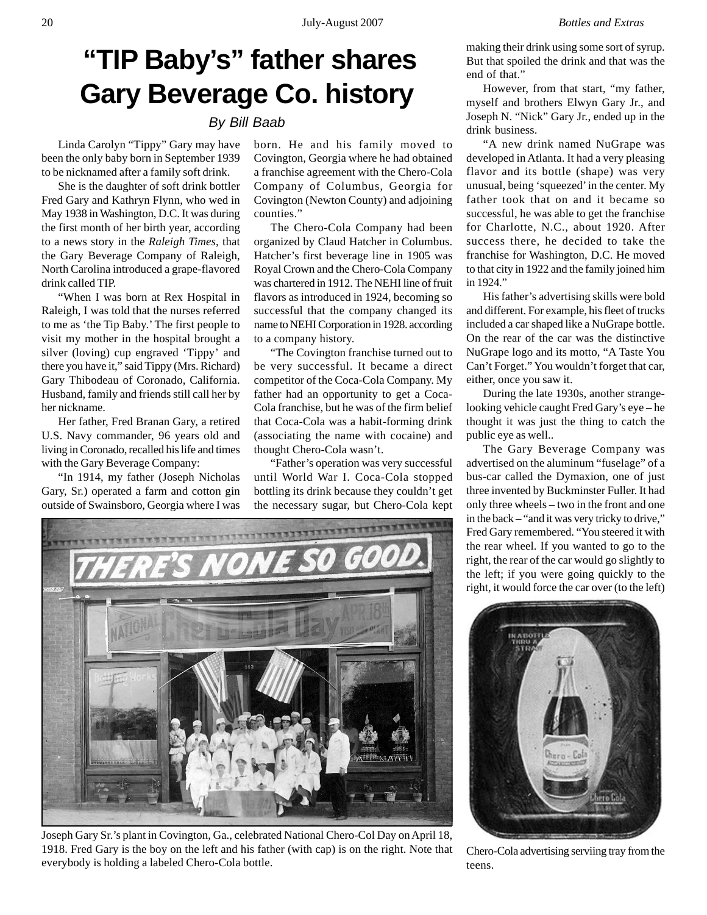## **"TIP Baby's" father shares Gary Beverage Co. history**

## *By Bill Baab*

Linda Carolyn "Tippy" Gary may have been the only baby born in September 1939 to be nicknamed after a family soft drink.

She is the daughter of soft drink bottler Fred Gary and Kathryn Flynn, who wed in May 1938 in Washington, D.C. It was during the first month of her birth year, according to a news story in the *Raleigh Times,* that the Gary Beverage Company of Raleigh, North Carolina introduced a grape-flavored drink called TIP.

"When I was born at Rex Hospital in Raleigh, I was told that the nurses referred to me as 'the Tip Baby.' The first people to visit my mother in the hospital brought a silver (loving) cup engraved 'Tippy' and there you have it," said Tippy (Mrs. Richard) Gary Thibodeau of Coronado, California. Husband, family and friends still call her by her nickname.

Her father, Fred Branan Gary, a retired U.S. Navy commander, 96 years old and living in Coronado, recalled his life and times with the Gary Beverage Company:

"In 1914, my father (Joseph Nicholas Gary, Sr.) operated a farm and cotton gin outside of Swainsboro, Georgia where I was

born. He and his family moved to Covington, Georgia where he had obtained a franchise agreement with the Chero-Cola Company of Columbus, Georgia for Covington (Newton County) and adjoining counties."

The Chero-Cola Company had been organized by Claud Hatcher in Columbus. Hatcher's first beverage line in 1905 was Royal Crown and the Chero-Cola Company was chartered in 1912. The NEHI line of fruit flavors as introduced in 1924, becoming so successful that the company changed its name to NEHI Corporation in 1928. according to a company history.

"The Covington franchise turned out to be very successful. It became a direct competitor of the Coca-Cola Company. My father had an opportunity to get a Coca-Cola franchise, but he was of the firm belief that Coca-Cola was a habit-forming drink (associating the name with cocaine) and thought Chero-Cola wasn't.

"Father's operation was very successful until World War I. Coca-Cola stopped bottling its drink because they couldn't get the necessary sugar, but Chero-Cola kept



However, from that start, "my father, myself and brothers Elwyn Gary Jr., and Joseph N. "Nick" Gary Jr., ended up in the drink business.

"A new drink named NuGrape was developed in Atlanta. It had a very pleasing flavor and its bottle (shape) was very unusual, being 'squeezed' in the center. My father took that on and it became so successful, he was able to get the franchise for Charlotte, N.C., about 1920. After success there, he decided to take the franchise for Washington, D.C. He moved to that city in 1922 and the family joined him in 1924."

His father's advertising skills were bold and different. For example, his fleet of trucks included a car shaped like a NuGrape bottle. On the rear of the car was the distinctive NuGrape logo and its motto, "A Taste You Can't Forget." You wouldn't forget that car, either, once you saw it.

During the late 1930s, another strangelooking vehicle caught Fred Gary's eye – he thought it was just the thing to catch the public eye as well..

The Gary Beverage Company was advertised on the aluminum "fuselage" of a bus-car called the Dymaxion, one of just three invented by Buckminster Fuller. It had only three wheels – two in the front and one in the back – "and it was very tricky to drive," Fred Gary remembered. "You steered it with the rear wheel. If you wanted to go to the right, the rear of the car would go slightly to the left; if you were going quickly to the right, it would force the car over (to the left)



Joseph Gary Sr.'s plant in Covington, Ga., celebrated National Chero-Col Day on April 18, 1918. Fred Gary is the boy on the left and his father (with cap) is on the right. Note that everybody is holding a labeled Chero-Cola bottle.



Chero-Cola advertising serviing tray from the teens.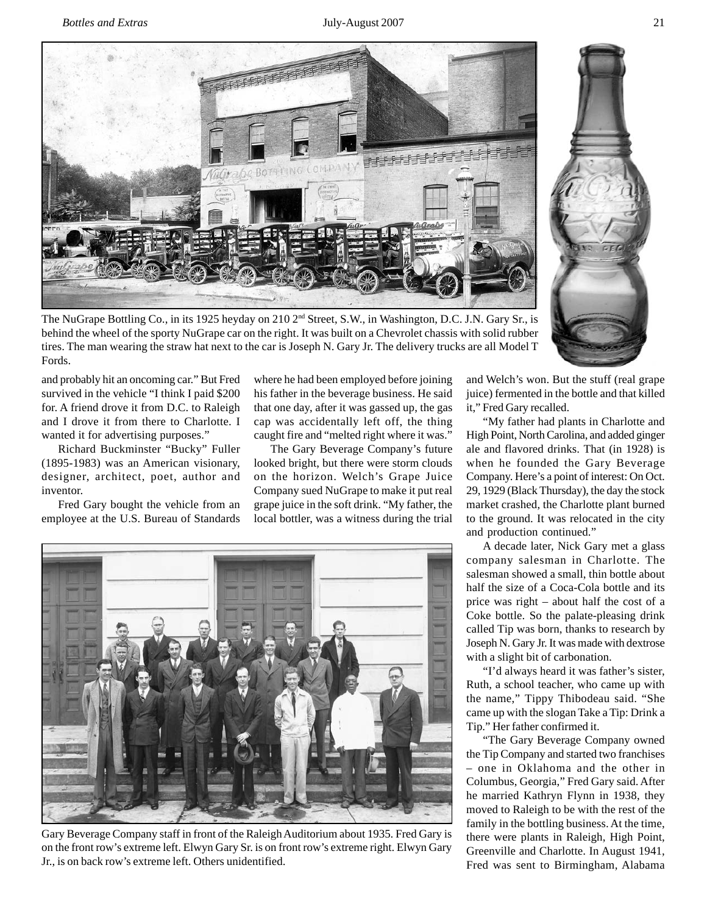

The NuGrape Bottling Co., in its 1925 heyday on 210 2<sup>nd</sup> Street, S.W., in Washington, D.C. J.N. Gary Sr., is behind the wheel of the sporty NuGrape car on the right. It was built on a Chevrolet chassis with solid rubber tires. The man wearing the straw hat next to the car is Joseph N. Gary Jr. The delivery trucks are all Model T Fords.

and probably hit an oncoming car." But Fred survived in the vehicle "I think I paid \$200 for. A friend drove it from D.C. to Raleigh and I drove it from there to Charlotte. I wanted it for advertising purposes."

Richard Buckminster "Bucky" Fuller (1895-1983) was an American visionary, designer, architect, poet, author and inventor.

Fred Gary bought the vehicle from an employee at the U.S. Bureau of Standards where he had been employed before joining his father in the beverage business. He said that one day, after it was gassed up, the gas cap was accidentally left off, the thing caught fire and "melted right where it was."

The Gary Beverage Company's future looked bright, but there were storm clouds on the horizon. Welch's Grape Juice Company sued NuGrape to make it put real grape juice in the soft drink. "My father, the local bottler, was a witness during the trial



Gary Beverage Company staff in front of the Raleigh Auditorium about 1935. Fred Gary is on the front row's extreme left. Elwyn Gary Sr. is on front row's extreme right. Elwyn Gary Jr., is on back row's extreme left. Others unidentified.

and Welch's won. But the stuff (real grape juice) fermented in the bottle and that killed it," Fred Gary recalled.

"My father had plants in Charlotte and High Point, North Carolina, and added ginger ale and flavored drinks. That (in 1928) is when he founded the Gary Beverage Company. Here's a point of interest: On Oct. 29, 1929 (Black Thursday), the day the stock market crashed, the Charlotte plant burned to the ground. It was relocated in the city and production continued."

A decade later, Nick Gary met a glass company salesman in Charlotte. The salesman showed a small, thin bottle about half the size of a Coca-Cola bottle and its price was right – about half the cost of a Coke bottle. So the palate-pleasing drink called Tip was born, thanks to research by Joseph N. Gary Jr. It was made with dextrose with a slight bit of carbonation.

"I'd always heard it was father's sister, Ruth, a school teacher, who came up with the name," Tippy Thibodeau said. "She came up with the slogan Take a Tip: Drink a Tip." Her father confirmed it.

"The Gary Beverage Company owned the Tip Company and started two franchises – one in Oklahoma and the other in Columbus, Georgia," Fred Gary said. After he married Kathryn Flynn in 1938, they moved to Raleigh to be with the rest of the family in the bottling business. At the time, there were plants in Raleigh, High Point, Greenville and Charlotte. In August 1941, Fred was sent to Birmingham, Alabama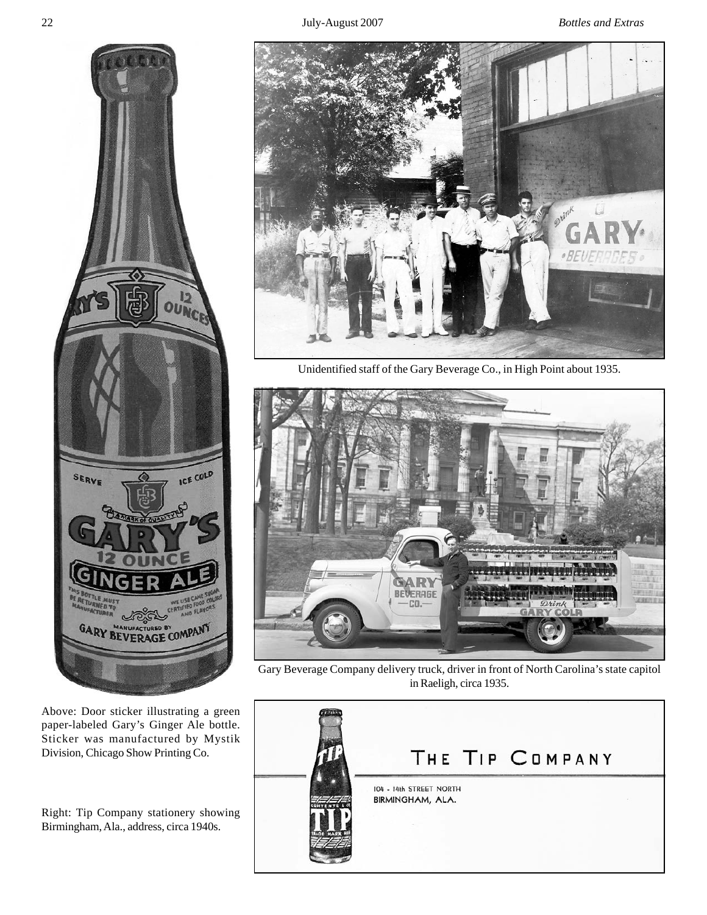

Above: Door sticker illustrating a green paper-labeled Gary's Ginger Ale bottle. Sticker was manufactured by Mystik Division, Chicago Show Printing Co.

Right: Tip Company stationery showing Birmingham, Ala., address, circa 1940s.



Unidentified staff of the Gary Beverage Co., in High Point about 1935.



Gary Beverage Company delivery truck, driver in front of North Carolina's state capitol in Raeligh, circa 1935.